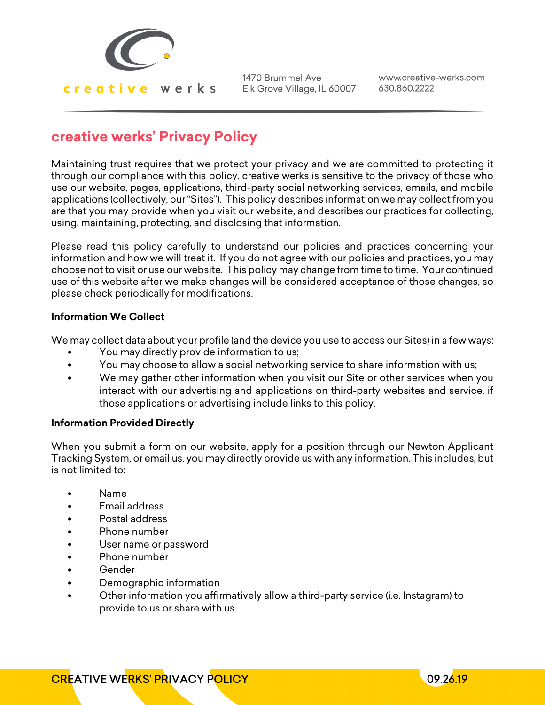

www.creative-werks.com 630.860.2222

## **creative werks' Privacy Policy**

Maintaining trust requires that we protect your privacy and we are committed to protecting it through our compliance with this policy. creative werks is sensitive to the privacy of those who use our website, pages, applications, third-party social networking services, emails, and mobile applications (collectively, our "Sites"). This policy describes information we may collect from you are that you may provide when you visit our website, and describes our practices for collecting, using, maintaining, protecting, and disclosing that information.

Please read this policy carefully to understand our policies and practices concerning your information and how we will treat it. If you do not agree with our policies and practices, you may choose not to visit or use our website. This policy may change from time to time. Your continued use of this website after we make changes will be considered acceptance of those changes, so please check periodically for modifications.

## **Information We Collect**

We may collect data about your profile (and the device you use to access our Sites) in a few ways:

- You may directly provide information to us;
- You may choose to allow a social networking service to share information with us;
- We may gather other information when you visit our Site or other services when you interact with our advertising and applications on third-party websites and service, if those applications or advertising include links to this policy.

## **Information Provided Directly**

When you submit a form on our website, apply for a position through our Newton Applicant Tracking System, or email us, you may directly provide us with any information. This includes, but is not limited to:

- Name
- Email address
- Postal address
- Phone number
- User name or password
- Phone number
- Gender
- Demographic information
- Other information you affirmatively allow a third-party service (i.e. Instagram) to provide to us or share with us

**CREATIVE WERKS' PRIVACY POLICY CONTRACT AND LOCATED AT LCCC 26.19** 

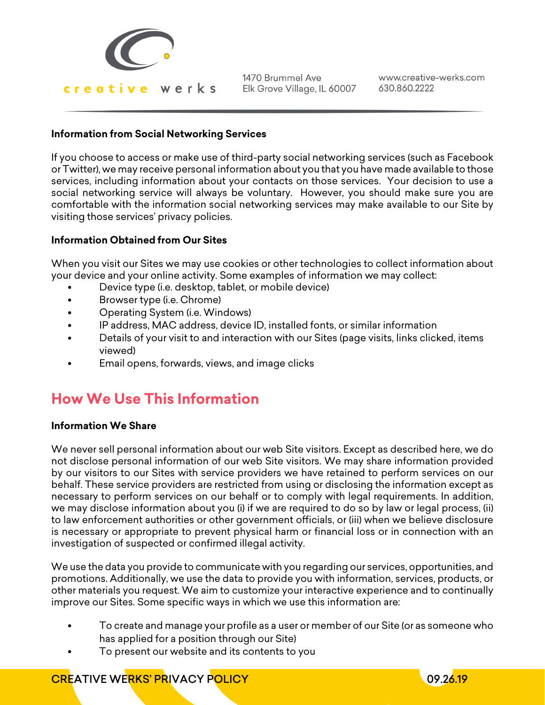

www.creative-werks.com 630.860.2222

## **Information from Social Networking Services**

If you choose to access or make use of third-party social networking services (such as Facebook or Twitter), we may receive personal information about you that you have made available to those services, including information about your contacts on those services. Your decision to use a social networking service will always be voluntary. However, you should make sure you are comfortable with the information social networking services may make available to our Site by visiting those services' privacy policies.

## **Information Obtained from Our Sites**

When you visit our Sites we may use cookies or other technologies to collect information about your device and your online activity. Some examples of information we may collect:

- Device type (i.e. desktop, tablet, or mobile device)
- Browser type (i.e. Chrome)
- Operating System (i.e. Windows)
- IP address, MAC address, device ID, installed fonts, or similar information
- Details of your visit to and interaction with our Sites (page visits, links clicked, items viewed)
- Email opens, forwards, views, and image clicks

# **How We Use This Information**

## **Information We Share**

We never sell personal information about our web Site visitors. Except as described here, we do not disclose personal information of our web Site visitors. We may share information provided by our visitors to our Sites with service providers we have retained to perform services on our behalf. These service providers are restricted from using or disclosing the information except as necessary to perform services on our behalf or to comply with legal requirements. In addition, we may disclose information about you (i) if we are required to do so by law or legal process, (ii) to law enforcement authorities or other government officials, or (iii) when we believe disclosure is necessary or appropriate to prevent physical harm or financial loss or in connection with an investigation of suspected or confirmed illegal activity.

We use the data you provide to communicate with you regarding our services, opportunities, and promotions. Additionally, we use the data to provide you with information, services, products, or other materials you request. We aim to customize your interactive experience and to continually improve our Sites. Some specific ways in which we use this information are:

- To create and manage your profile as a user or member of our Site (or as someone who has applied for a position through our Site)
- To present our website and its contents to you

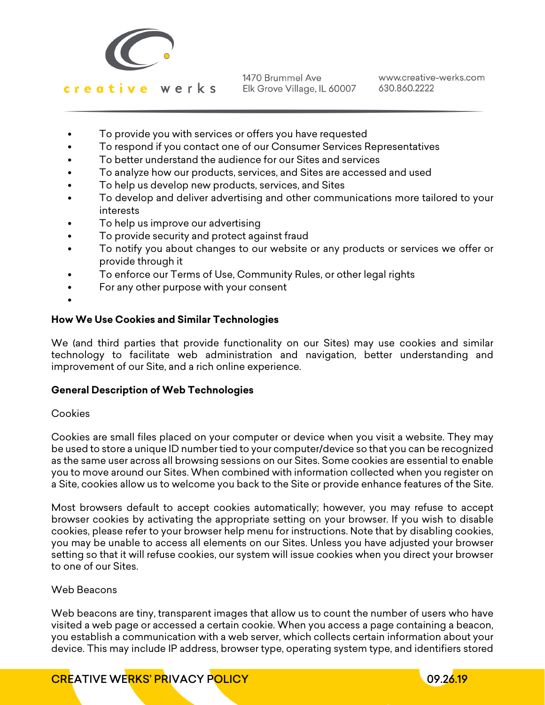

www.creative-werks.com 630.860.2222

- To provide you with services or offers you have requested
- To respond if you contact one of our Consumer Services Representatives
- To better understand the audience for our Sites and services
- To analyze how our products, services, and Sites are accessed and used
- To help us develop new products, services, and Sites
- To develop and deliver advertising and other communications more tailored to your interests
- To help us improve our advertising
- To provide security and protect against fraud
- To notify you about changes to our website or any products or services we offer or provide through it
- To enforce our Terms of Use, Community Rules, or other legal rights
- For any other purpose with your consent
- •

## **How We Use Cookies and Similar Technologies**

We (and third parties that provide functionality on our Sites) may use cookies and similar technology to facilitate web administration and navigation, better understanding and improvement of our Site, and a rich online experience.

## **General Description of Web Technologies**

## Cookies

Cookies are small files placed on your computer or device when you visit a website. They may be used to store a unique ID number tied to your computer/device so that you can be recognized as the same user across all browsing sessions on our Sites. Some cookies are essential to enable you to move around our Sites. When combined with information collected when you register on a Site, cookies allow us to welcome you back to the Site or provide enhance features of the Site.

Most browsers default to accept cookies automatically; however, you may refuse to accept browser cookies by activating the appropriate setting on your browser. If you wish to disable cookies, please refer to your browser help menu for instructions. Note that by disabling cookies, you may be unable to access all elements on our Sites. Unless you have adjusted your browser setting so that it will refuse cookies, our system will issue cookies when you direct your browser to one of our Sites.

## Web Beacons

Web beacons are tiny, transparent images that allow us to count the number of users who have visited a web page or accessed a certain cookie. When you access a page containing a beacon, you establish a communication with a web server, which collects certain information about your device. This may include IP address, browser type, operating system type, and identifiers stored